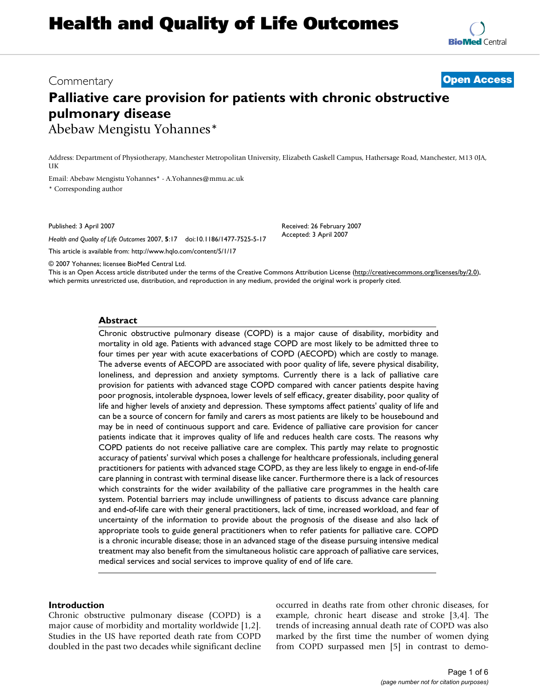# **Health and Quality of Life Outcomes**

Commentary **[Open Access](http://www.biomedcentral.com/info/about/charter/)**

# **Palliative care provision for patients with chronic obstructive pulmonary disease** Abebaw Mengistu Yohannes\*

**[BioMed](http://www.biomedcentral.com/)** Central

Address: Department of Physiotherapy, Manchester Metropolitan University, Elizabeth Gaskell Campus, Hathersage Road, Manchester, M13 0JA, **IK** 

Email: Abebaw Mengistu Yohannes\* - A.Yohannes@mmu.ac.uk \* Corresponding author

Published: 3 April 2007

*Health and Quality of Life Outcomes* 2007, **5**:17 doi:10.1186/1477-7525-5-17

[This article is available from: http://www.hqlo.com/content/5/1/17](http://www.hqlo.com/content/5/1/17)

© 2007 Yohannes; licensee BioMed Central Ltd.

This is an Open Access article distributed under the terms of the Creative Commons Attribution License [\(http://creativecommons.org/licenses/by/2.0\)](http://creativecommons.org/licenses/by/2.0), which permits unrestricted use, distribution, and reproduction in any medium, provided the original work is properly cited.

Received: 26 February 2007 Accepted: 3 April 2007

#### **Abstract**

Chronic obstructive pulmonary disease (COPD) is a major cause of disability, morbidity and mortality in old age. Patients with advanced stage COPD are most likely to be admitted three to four times per year with acute exacerbations of COPD (AECOPD) which are costly to manage. The adverse events of AECOPD are associated with poor quality of life, severe physical disability, loneliness, and depression and anxiety symptoms. Currently there is a lack of palliative care provision for patients with advanced stage COPD compared with cancer patients despite having poor prognosis, intolerable dyspnoea, lower levels of self efficacy, greater disability, poor quality of life and higher levels of anxiety and depression. These symptoms affect patients' quality of life and can be a source of concern for family and carers as most patients are likely to be housebound and may be in need of continuous support and care. Evidence of palliative care provision for cancer patients indicate that it improves quality of life and reduces health care costs. The reasons why COPD patients do not receive palliative care are complex. This partly may relate to prognostic accuracy of patients' survival which poses a challenge for healthcare professionals, including general practitioners for patients with advanced stage COPD, as they are less likely to engage in end-of-life care planning in contrast with terminal disease like cancer. Furthermore there is a lack of resources which constraints for the wider availability of the palliative care programmes in the health care system. Potential barriers may include unwillingness of patients to discuss advance care planning and end-of-life care with their general practitioners, lack of time, increased workload, and fear of uncertainty of the information to provide about the prognosis of the disease and also lack of appropriate tools to guide general practitioners when to refer patients for palliative care. COPD is a chronic incurable disease; those in an advanced stage of the disease pursuing intensive medical treatment may also benefit from the simultaneous holistic care approach of palliative care services, medical services and social services to improve quality of end of life care.

#### **Introduction**

Chronic obstructive pulmonary disease (COPD) is a major cause of morbidity and mortality worldwide [1,2]. Studies in the US have reported death rate from COPD doubled in the past two decades while significant decline occurred in deaths rate from other chronic diseases, for example, chronic heart disease and stroke [3,4]. The trends of increasing annual death rate of COPD was also marked by the first time the number of women dying from COPD surpassed men [5] in contrast to demo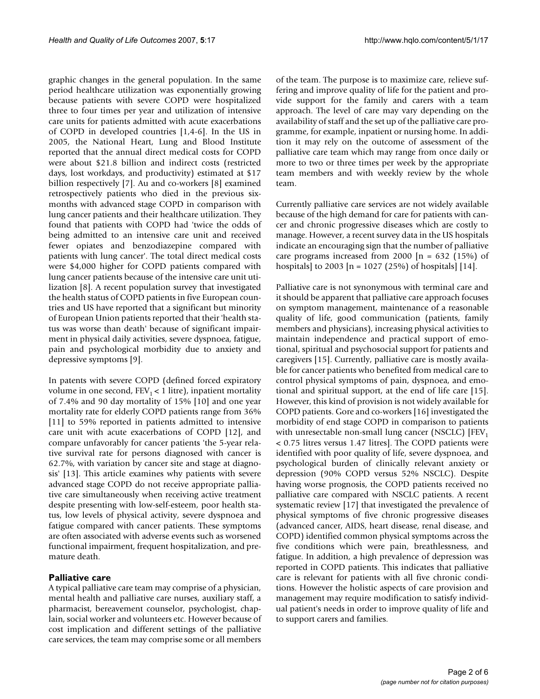graphic changes in the general population. In the same period healthcare utilization was exponentially growing because patients with severe COPD were hospitalized three to four times per year and utilization of intensive care units for patients admitted with acute exacerbations of COPD in developed countries [1,4-6]. In the US in 2005, the National Heart, Lung and Blood Institute reported that the annual direct medical costs for COPD were about \$21.8 billion and indirect costs (restricted days, lost workdays, and productivity) estimated at \$17 billion respectively [7]. Au and co-workers [8] examined retrospectively patients who died in the previous sixmonths with advanced stage COPD in comparison with lung cancer patients and their healthcare utilization. They found that patients with COPD had 'twice the odds of being admitted to an intensive care unit and received fewer opiates and benzodiazepine compared with patients with lung cancer'. The total direct medical costs were \$4,000 higher for COPD patients compared with lung cancer patients because of the intensive care unit utilization [8]. A recent population survey that investigated the health status of COPD patients in five European countries and US have reported that a significant but minority of European Union patients reported that their 'health status was worse than death' because of significant impairment in physical daily activities, severe dyspnoea, fatigue, pain and psychological morbidity due to anxiety and depressive symptoms [9].

In patents with severe COPD (defined forced expiratory volume in one second,  $FEV_1 < 1$  litre), inpatient mortality of 7.4% and 90 day mortality of 15% [10] and one year mortality rate for elderly COPD patients range from 36% [11] to 59% reported in patients admitted to intensive care unit with acute exacerbations of COPD [12], and compare unfavorably for cancer patients 'the 5-year relative survival rate for persons diagnosed with cancer is 62.7%, with variation by cancer site and stage at diagnosis' [13]. This article examines why patients with severe advanced stage COPD do not receive appropriate palliative care simultaneously when receiving active treatment despite presenting with low-self-esteem, poor health status, low levels of physical activity, severe dyspnoea and fatigue compared with cancer patients. These symptoms are often associated with adverse events such as worsened functional impairment, frequent hospitalization, and premature death.

# **Palliative care**

A typical palliative care team may comprise of a physician, mental health and palliative care nurses, auxiliary staff, a pharmacist, bereavement counselor, psychologist, chaplain, social worker and volunteers etc. However because of cost implication and different settings of the palliative care services, the team may comprise some or all members

of the team. The purpose is to maximize care, relieve suffering and improve quality of life for the patient and provide support for the family and carers with a team approach. The level of care may vary depending on the availability of staff and the set up of the palliative care programme, for example, inpatient or nursing home. In addition it may rely on the outcome of assessment of the palliative care team which may range from once daily or more to two or three times per week by the appropriate team members and with weekly review by the whole team.

Currently palliative care services are not widely available because of the high demand for care for patients with cancer and chronic progressive diseases which are costly to manage. However, a recent survey data in the US hospitals indicate an encouraging sign that the number of palliative care programs increased from 2000  $[n = 632 (15\%)$  of hospitals] to 2003  $[n = 1027 (25%)$  of hospitals]  $[14]$ .

Palliative care is not synonymous with terminal care and it should be apparent that palliative care approach focuses on symptom management, maintenance of a reasonable quality of life, good communication (patients, family members and physicians), increasing physical activities to maintain independence and practical support of emotional, spiritual and psychosocial support for patients and caregivers [15]. Currently, palliative care is mostly available for cancer patients who benefited from medical care to control physical symptoms of pain, dyspnoea, and emotional and spiritual support, at the end of life care [15]. However, this kind of provision is not widely available for COPD patients. Gore and co-workers [16] investigated the morbidity of end stage COPD in comparison to patients with unresectable non-small lung cancer (NSCLC)  $[FEV<sub>1</sub>]$ < 0.75 litres versus 1.47 litres]. The COPD patients were identified with poor quality of life, severe dyspnoea, and psychological burden of clinically relevant anxiety or depression (90% COPD versus 52% NSCLC). Despite having worse prognosis, the COPD patients received no palliative care compared with NSCLC patients. A recent systematic review [17] that investigated the prevalence of physical symptoms of five chronic progressive diseases (advanced cancer, AIDS, heart disease, renal disease, and COPD) identified common physical symptoms across the five conditions which were pain, breathlessness, and fatigue. In addition, a high prevalence of depression was reported in COPD patients. This indicates that palliative care is relevant for patients with all five chronic conditions. However the holistic aspects of care provision and management may require modification to satisfy individual patient's needs in order to improve quality of life and to support carers and families.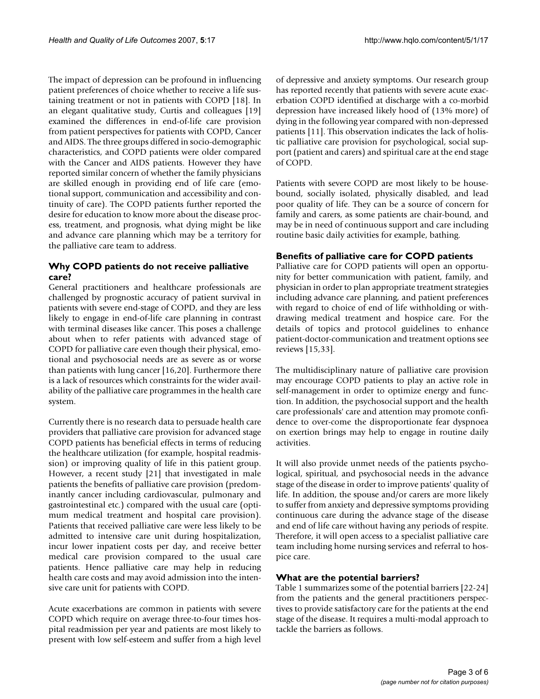The impact of depression can be profound in influencing patient preferences of choice whether to receive a life sustaining treatment or not in patients with COPD [18]. In an elegant qualitative study, Curtis and colleagues [19] examined the differences in end-of-life care provision from patient perspectives for patients with COPD, Cancer and AIDS. The three groups differed in socio-demographic characteristics, and COPD patients were older compared with the Cancer and AIDS patients. However they have reported similar concern of whether the family physicians are skilled enough in providing end of life care (emotional support, communication and accessibility and continuity of care). The COPD patients further reported the desire for education to know more about the disease process, treatment, and prognosis, what dying might be like and advance care planning which may be a territory for the palliative care team to address.

# **Why COPD patients do not receive palliative care?**

General practitioners and healthcare professionals are challenged by prognostic accuracy of patient survival in patients with severe end-stage of COPD, and they are less likely to engage in end-of-life care planning in contrast with terminal diseases like cancer. This poses a challenge about when to refer patients with advanced stage of COPD for palliative care even though their physical, emotional and psychosocial needs are as severe as or worse than patients with lung cancer [16,20]. Furthermore there is a lack of resources which constraints for the wider availability of the palliative care programmes in the health care system.

Currently there is no research data to persuade health care providers that palliative care provision for advanced stage COPD patients has beneficial effects in terms of reducing the healthcare utilization (for example, hospital readmission) or improving quality of life in this patient group. However, a recent study [21] that investigated in male patients the benefits of palliative care provision (predominantly cancer including cardiovascular, pulmonary and gastrointestinal etc.) compared with the usual care (optimum medical treatment and hospital care provision). Patients that received palliative care were less likely to be admitted to intensive care unit during hospitalization, incur lower inpatient costs per day, and receive better medical care provision compared to the usual care patients. Hence palliative care may help in reducing health care costs and may avoid admission into the intensive care unit for patients with COPD.

Acute exacerbations are common in patients with severe COPD which require on average three-to-four times hospital readmission per year and patients are most likely to present with low self-esteem and suffer from a high level

of depressive and anxiety symptoms. Our research group has reported recently that patients with severe acute exacerbation COPD identified at discharge with a co-morbid depression have increased likely hood of (13% more) of dying in the following year compared with non-depressed patients [11]. This observation indicates the lack of holistic palliative care provision for psychological, social support (patient and carers) and spiritual care at the end stage of COPD.

Patients with severe COPD are most likely to be housebound, socially isolated, physically disabled, and lead poor quality of life. They can be a source of concern for family and carers, as some patients are chair-bound, and may be in need of continuous support and care including routine basic daily activities for example, bathing.

# **Benefits of palliative care for COPD patients**

Palliative care for COPD patients will open an opportunity for better communication with patient, family, and physician in order to plan appropriate treatment strategies including advance care planning, and patient preferences with regard to choice of end of life withholding or withdrawing medical treatment and hospice care. For the details of topics and protocol guidelines to enhance patient-doctor-communication and treatment options see reviews [15,33].

The multidisciplinary nature of palliative care provision may encourage COPD patients to play an active role in self-management in order to optimize energy and function. In addition, the psychosocial support and the health care professionals' care and attention may promote confidence to over-come the disproportionate fear dyspnoea on exertion brings may help to engage in routine daily activities.

It will also provide unmet needs of the patients psychological, spiritual, and psychosocial needs in the advance stage of the disease in order to improve patients' quality of life. In addition, the spouse and/or carers are more likely to suffer from anxiety and depressive symptoms providing continuous care during the advance stage of the disease and end of life care without having any periods of respite. Therefore, it will open access to a specialist palliative care team including home nursing services and referral to hospice care.

# **What are the potential barriers?**

Table 1 summarizes some of the potential barriers [22-24] from the patients and the general practitioners perspectives to provide satisfactory care for the patients at the end stage of the disease. It requires a multi-modal approach to tackle the barriers as follows.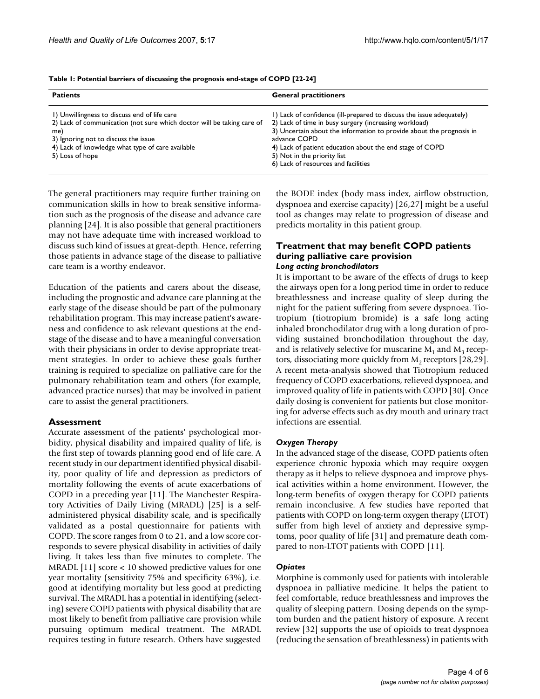**Table 1: Potential barriers of discussing the prognosis end-stage of COPD [22-24]**

| <b>Patients</b>                                                                                                                                                                                                                              | <b>General practitioners</b>                                                                                                                                                                                                                                                                                                                            |
|----------------------------------------------------------------------------------------------------------------------------------------------------------------------------------------------------------------------------------------------|---------------------------------------------------------------------------------------------------------------------------------------------------------------------------------------------------------------------------------------------------------------------------------------------------------------------------------------------------------|
| 1) Unwillingness to discuss end of life care<br>2) Lack of communication (not sure which doctor will be taking care of<br>me)<br>3) Ignoring not to discuss the issue<br>4) Lack of knowledge what type of care available<br>5) Loss of hope | I) Lack of confidence (ill-prepared to discuss the issue adequately)<br>2) Lack of time in busy surgery (increasing workload)<br>3) Uncertain about the information to provide about the prognosis in<br>advance COPD<br>4) Lack of patient education about the end stage of COPD<br>5) Not in the priority list<br>6) Lack of resources and facilities |

The general practitioners may require further training on communication skills in how to break sensitive information such as the prognosis of the disease and advance care planning [24]. It is also possible that general practitioners may not have adequate time with increased workload to discuss such kind of issues at great-depth. Hence, referring those patients in advance stage of the disease to palliative care team is a worthy endeavor.

Education of the patients and carers about the disease, including the prognostic and advance care planning at the early stage of the disease should be part of the pulmonary rehabilitation program. This may increase patient's awareness and confidence to ask relevant questions at the endstage of the disease and to have a meaningful conversation with their physicians in order to devise appropriate treatment strategies. In order to achieve these goals further training is required to specialize on palliative care for the pulmonary rehabilitation team and others (for example, advanced practice nurses) that may be involved in patient care to assist the general practitioners.

# **Assessment**

Accurate assessment of the patients' psychological morbidity, physical disability and impaired quality of life, is the first step of towards planning good end of life care. A recent study in our department identified physical disability, poor quality of life and depression as predictors of mortality following the events of acute exacerbations of COPD in a preceding year [11]. The Manchester Respiratory Activities of Daily Living (MRADL) [25] is a selfadministered physical disability scale, and is specifically validated as a postal questionnaire for patients with COPD. The score ranges from 0 to 21, and a low score corresponds to severe physical disability in activities of daily living. It takes less than five minutes to complete. The MRADL [11] score < 10 showed predictive values for one year mortality (sensitivity 75% and specificity 63%), i.e. good at identifying mortality but less good at predicting survival. The MRADL has a potential in identifying (selecting) severe COPD patients with physical disability that are most likely to benefit from palliative care provision while pursuing optimum medical treatment. The MRADL requires testing in future research. Others have suggested the BODE index (body mass index, airflow obstruction, dyspnoea and exercise capacity) [26,27] might be a useful tool as changes may relate to progression of disease and predicts mortality in this patient group.

#### **Treatment that may benefit COPD patients during palliative care provision** *Long acting bronchodilators*

It is important to be aware of the effects of drugs to keep the airways open for a long period time in order to reduce breathlessness and increase quality of sleep during the night for the patient suffering from severe dyspnoea. Tiotropium (tiotropium bromide) is a safe long acting inhaled bronchodilator drug with a long duration of providing sustained bronchodilation throughout the day, and is relatively selective for muscarine  $M_1$  and  $M_3$  receptors, dissociating more quickly from  $M_2$  receptors [28,29]. A recent meta-analysis showed that Tiotropium reduced frequency of COPD exacerbations, relieved dyspnoea, and improved quality of life in patients with COPD [30]. Once daily dosing is convenient for patients but close monitoring for adverse effects such as dry mouth and urinary tract infections are essential.

# *Oxygen Therapy*

In the advanced stage of the disease, COPD patients often experience chronic hypoxia which may require oxygen therapy as it helps to relieve dyspnoea and improve physical activities within a home environment. However, the long-term benefits of oxygen therapy for COPD patients remain inconclusive. A few studies have reported that patients with COPD on long-term oxygen therapy (LTOT) suffer from high level of anxiety and depressive symptoms, poor quality of life [31] and premature death compared to non-LTOT patients with COPD [11].

# *Opiates*

Morphine is commonly used for patients with intolerable dyspnoea in palliative medicine. It helps the patient to feel comfortable, reduce breathlessness and improves the quality of sleeping pattern. Dosing depends on the symptom burden and the patient history of exposure. A recent review [32] supports the use of opioids to treat dyspnoea (reducing the sensation of breathlessness) in patients with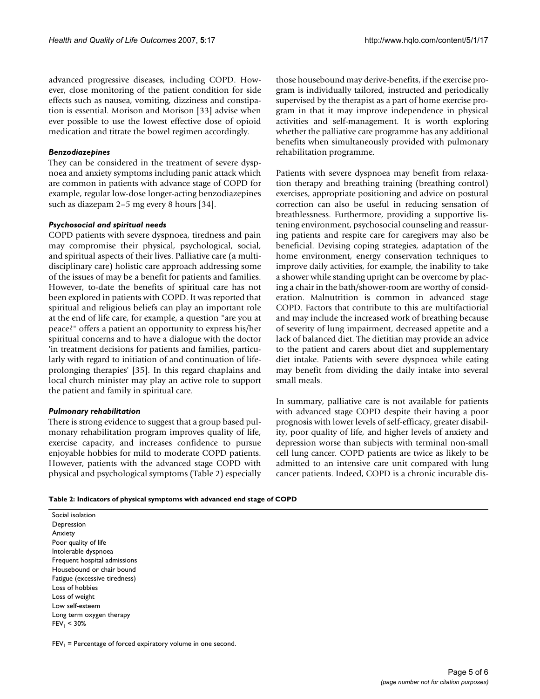advanced progressive diseases, including COPD. However, close monitoring of the patient condition for side effects such as nausea, vomiting, dizziness and constipation is essential. Morison and Morison [33] advise when ever possible to use the lowest effective dose of opioid medication and titrate the bowel regimen accordingly.

#### *Benzodiazepines*

They can be considered in the treatment of severe dyspnoea and anxiety symptoms including panic attack which are common in patients with advance stage of COPD for example, regular low-dose longer-acting benzodiazepines such as diazepam 2–5 mg every 8 hours [34].

#### *Psychosocial and spiritual needs*

COPD patients with severe dyspnoea, tiredness and pain may compromise their physical, psychological, social, and spiritual aspects of their lives. Palliative care (a multidisciplinary care) holistic care approach addressing some of the issues of may be a benefit for patients and families. However, to-date the benefits of spiritual care has not been explored in patients with COPD. It was reported that spiritual and religious beliefs can play an important role at the end of life care, for example, a question "are you at peace?" offers a patient an opportunity to express his/her spiritual concerns and to have a dialogue with the doctor 'in treatment decisions for patients and families, particularly with regard to initiation of and continuation of lifeprolonging therapies' [35]. In this regard chaplains and local church minister may play an active role to support the patient and family in spiritual care.

#### *Pulmonary rehabilitation*

There is strong evidence to suggest that a group based pulmonary rehabilitation program improves quality of life, exercise capacity, and increases confidence to pursue enjoyable hobbies for mild to moderate COPD patients. However, patients with the advanced stage COPD with physical and psychological symptoms (Table 2) especially those housebound may derive-benefits, if the exercise program is individually tailored, instructed and periodically supervised by the therapist as a part of home exercise program in that it may improve independence in physical activities and self-management. It is worth exploring whether the palliative care programme has any additional benefits when simultaneously provided with pulmonary rehabilitation programme.

Patients with severe dyspnoea may benefit from relaxation therapy and breathing training (breathing control) exercises, appropriate positioning and advice on postural correction can also be useful in reducing sensation of breathlessness. Furthermore, providing a supportive listening environment, psychosocial counseling and reassuring patients and respite care for caregivers may also be beneficial. Devising coping strategies, adaptation of the home environment, energy conservation techniques to improve daily activities, for example, the inability to take a shower while standing upright can be overcome by placing a chair in the bath/shower-room are worthy of consideration. Malnutrition is common in advanced stage COPD. Factors that contribute to this are multifactiorial and may include the increased work of breathing because of severity of lung impairment, decreased appetite and a lack of balanced diet. The dietitian may provide an advice to the patient and carers about diet and supplementary diet intake. Patients with severe dyspnoea while eating may benefit from dividing the daily intake into several small meals.

In summary, palliative care is not available for patients with advanced stage COPD despite their having a poor prognosis with lower levels of self-efficacy, greater disability, poor quality of life, and higher levels of anxiety and depression worse than subjects with terminal non-small cell lung cancer. COPD patients are twice as likely to be admitted to an intensive care unit compared with lung cancer patients. Indeed, COPD is a chronic incurable dis-

#### **Table 2: Indicators of physical symptoms with advanced end stage of COPD**

Social isolation Depression Anxiety Poor quality of life Intolerable dyspnoea Frequent hospital admissions Housebound or chair bound Fatigue (excessive tiredness) Loss of hobbies Loss of weight Low self-esteem Long term oxygen therapy  $FEV_1 < 30%$ 

 $FEV<sub>1</sub>$  = Percentage of forced expiratory volume in one second.